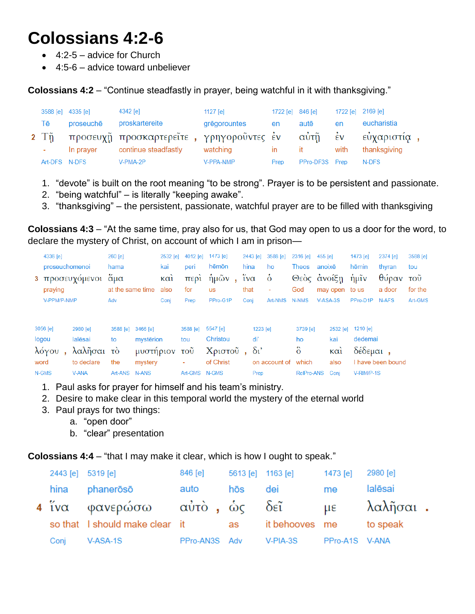## **Colossians 4:2-6**

- $\bullet$  4:2-5 advice for Church
- 4:5-6 advice toward unbeliever

**Colossians 4:2** – "Continue steadfastly in prayer, being watchful in it with thanksgiving."

|               | 3588 [e] 4335 [e] | 4342 [e]                                      | 1127 $[el]$  | 1722 [e] $846$ [e] |                | 1722 [e] 2169 [e] |              |  |
|---------------|-------------------|-----------------------------------------------|--------------|--------------------|----------------|-------------------|--------------|--|
| Tē            | proseuche         | proskartereite                                | grēgorountes | en                 | autē           | en                | eucharistia  |  |
|               |                   | 2 Τῆ προσευχῆ προσκαρτερεῖτε, γρηγοροῦντες ἐν |              |                    | αὐτῇ ἐν        |                   | εὐχαριστία,  |  |
| ÷             | In prayer         | continue steadfastly                          | watching     | $\mathsf{I}$       | ⊟ it           | with              | thanksgiving |  |
| Art-DFS N-DFS |                   | V-PMA-2P                                      | V-PPA-NMP    | Prep               | PPro-DF3S Prep |                   | N-DFS        |  |

- 1. "devote" is built on the root meaning "to be strong". Prayer is to be persistent and passionate.
- 2. "being watchful" is literally "keeping awake".
- 3. "thanksgiving" the persistent, passionate, watchful prayer are to be filled with thanksgiving

**Colossians 4:3** – "At the same time, pray also for us, that God may open to us a door for the word, to declare the mystery of Christ, on account of which I am in prison—

|      | 4336 [e]<br>proseuchomenoi<br>praying<br>V-PPM/P-NMP | 3 προσευχόμενοι άμα                             | 260 [e]<br>hama<br>at the same time<br>Adv |                                                   | 2532 [e]<br>kai<br>$K\alpha i$<br>also<br>Conj | 4012 [e]<br>peri<br>περι<br>for<br>Prep | 1473 [e]<br>hēmōn<br>ήμῶν<br>$\mathbf{u}$<br><b>us</b><br>PPro-G1P | hina<br>$\tilde{i} \nu \alpha$<br>that<br>Conj | 2443 [e]       | 3588 [e]<br>ho<br>$\dot{\delta}$<br>$\blacksquare$<br>Art-NMS | $2316$ [e]<br><b>Theos</b><br>God<br>N-NMS | 455 [e]<br>anoixē<br>Θεὸς ἀνοίξη<br>may open to us<br>$V-ASA-3S$ | 1473 [e]<br>hēmin<br>ήμῖν<br>PPro-D1P | 2374 [e]<br>thyran<br>θύραν τοῦ<br>a door<br>N-AFS | 3588 [e]<br>tou<br>for the<br>Art-GMS |
|------|------------------------------------------------------|-------------------------------------------------|--------------------------------------------|---------------------------------------------------|------------------------------------------------|-----------------------------------------|--------------------------------------------------------------------|------------------------------------------------|----------------|---------------------------------------------------------------|--------------------------------------------|------------------------------------------------------------------|---------------------------------------|----------------------------------------------------|---------------------------------------|
| word | 3056 [e]<br>logou<br>λόγου                           | 2980 [e]<br>lalēsai<br>λαλῆσαι τὸ<br>to declare | 3588 [e]<br>to<br>the                      | 3466 [e]<br>mysterion<br>μυστήριον τοῦ<br>mystery |                                                | 3588 [e]<br>tou<br>٠                    | 5547 [e]<br>Christou<br>Χριστοῦ, δι'<br>of Christ                  |                                                | 1223 [e]<br>di | on account of which                                           | 3739 [e]<br>ho<br>$\delta$                 | 2532 [e]<br>kai<br>$K\alpha i$<br>also                           | 1210 [e]<br>dedemai<br>δέδεμαι,       | I have been bound                                  |                                       |

| wuu   | to declare the involtry |               |  | <u>Florence</u> | <b>UIT ACCULTE UT WITCH</b> |  | also Thave Deel            |
|-------|-------------------------|---------------|--|-----------------|-----------------------------|--|----------------------------|
| N-GMS | V-ANA                   | Art-ANS N-ANS |  | Art-GMS N-GMS   | Prep                        |  | RelPro-ANS Conj V-RIM/P-1S |

- 1. Paul asks for prayer for himself and his team's ministry.
- 2. Desire to make clear in this temporal world the mystery of the eternal world
- 3. Paul prays for two things:
	- a. "open door"
	- b. "clear" presentation

**Colossians 4:4** – "that I may make it clear, which is how I ought to speak."

| 2443 [e] 5319 [e] |                                                           | 846 [e] 5613 [e] 1163 [e] |     |            | 1473 [e]       | 2980 [e] |  |
|-------------------|-----------------------------------------------------------|---------------------------|-----|------------|----------------|----------|--|
|                   | hina phaneroso                                            | auto                      | hōs | dei        | me             | lalēsai  |  |
|                   | 4 ίνα φανερώσω αύτὸ, ὡς δεῖ με λαλῆσαι.                   |                           |     |            |                |          |  |
|                   | so that I should make clear it as it behooves me to speak |                           |     |            |                |          |  |
| Conj              | V-ASA-1S                                                  | PPro-AN3S Adv             |     | $V-PIA-3S$ | PPro-A1S V-ANA |          |  |